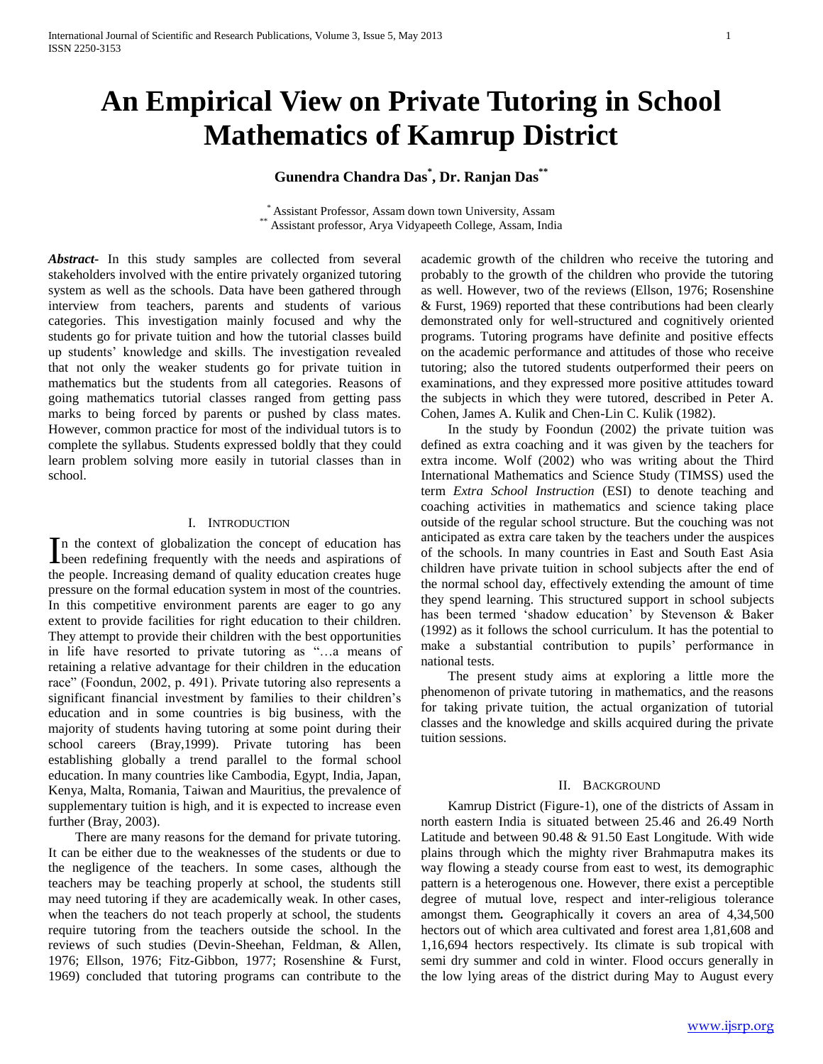# **An Empirical View on Private Tutoring in School Mathematics of Kamrup District**

# **Gunendra Chandra Das\* , Dr. Ranjan Das\*\***

\* Assistant Professor, Assam down town University, Assam \*\* Assistant professor, Arya Vidyapeeth College, Assam, India

*Abstract***-** In this study samples are collected from several stakeholders involved with the entire privately organized tutoring system as well as the schools. Data have been gathered through interview from teachers, parents and students of various categories. This investigation mainly focused and why the students go for private tuition and how the tutorial classes build up students' knowledge and skills. The investigation revealed that not only the weaker students go for private tuition in mathematics but the students from all categories. Reasons of going mathematics tutorial classes ranged from getting pass marks to being forced by parents or pushed by class mates. However, common practice for most of the individual tutors is to complete the syllabus. Students expressed boldly that they could learn problem solving more easily in tutorial classes than in school.

#### I. INTRODUCTION

n the context of globalization the concept of education has In the context of globalization the concept of education has been redefining frequently with the needs and aspirations of the people. Increasing demand of quality education creates huge pressure on the formal education system in most of the countries. In this competitive environment parents are eager to go any extent to provide facilities for right education to their children. They attempt to provide their children with the best opportunities in life have resorted to private tutoring as "…a means of retaining a relative advantage for their children in the education race" (Foondun, 2002, p. 491). Private tutoring also represents a significant financial investment by families to their children's education and in some countries is big business, with the majority of students having tutoring at some point during their school careers (Bray,1999). Private tutoring has been establishing globally a trend parallel to the formal school education. In many countries like Cambodia, Egypt, India, Japan, Kenya, Malta, Romania, Taiwan and Mauritius, the prevalence of supplementary tuition is high, and it is expected to increase even further (Bray, 2003).

 There are many reasons for the demand for private tutoring. It can be either due to the weaknesses of the students or due to the negligence of the teachers. In some cases, although the teachers may be teaching properly at school, the students still may need tutoring if they are academically weak. In other cases, when the teachers do not teach properly at school, the students require tutoring from the teachers outside the school. In the reviews of such studies (Devin-Sheehan, Feldman, & Allen, 1976; Ellson, 1976; Fitz-Gibbon, 1977; Rosenshine & Furst, 1969) concluded that tutoring programs can contribute to the academic growth of the children who receive the tutoring and probably to the growth of the children who provide the tutoring as well. However, two of the reviews (Ellson, 1976; Rosenshine & Furst, 1969) reported that these contributions had been clearly demonstrated only for well-structured and cognitively oriented programs. Tutoring programs have definite and positive effects on the academic performance and attitudes of those who receive tutoring; also the tutored students outperformed their peers on examinations, and they expressed more positive attitudes toward the subjects in which they were tutored, described in Peter A. Cohen, James A. Kulik and Chen-Lin C. Kulik (1982).

 In the study by Foondun (2002) the private tuition was defined as extra coaching and it was given by the teachers for extra income. Wolf (2002) who was writing about the Third International Mathematics and Science Study (TIMSS) used the term *Extra School Instruction* (ESI) to denote teaching and coaching activities in mathematics and science taking place outside of the regular school structure. But the couching was not anticipated as extra care taken by the teachers under the auspices of the schools. In many countries in East and South East Asia children have private tuition in school subjects after the end of the normal school day, effectively extending the amount of time they spend learning. This structured support in school subjects has been termed 'shadow education' by Stevenson & Baker (1992) as it follows the school curriculum. It has the potential to make a substantial contribution to pupils' performance in national tests.

 The present study aims at exploring a little more the phenomenon of private tutoring in mathematics, and the reasons for taking private tuition, the actual organization of tutorial classes and the knowledge and skills acquired during the private tuition sessions.

#### II. BACKGROUND

 Kamrup District (Figure-1), one of the districts of Assam in north eastern India is situated between 25.46 and 26.49 North Latitude and between 90.48 & 91.50 East Longitude. With wide plains through which the mighty river Brahmaputra makes its way flowing a steady course from east to west, its demographic pattern is a heterogenous one. However, there exist a perceptible degree of mutual love, respect and inter-religious tolerance amongst them*.* Geographically it covers an area of 4,34,500 hectors out of which area cultivated and forest area 1,81,608 and 1,16,694 hectors respectively. Its climate is sub tropical with semi dry summer and cold in winter. Flood occurs generally in the low lying areas of the district during May to August every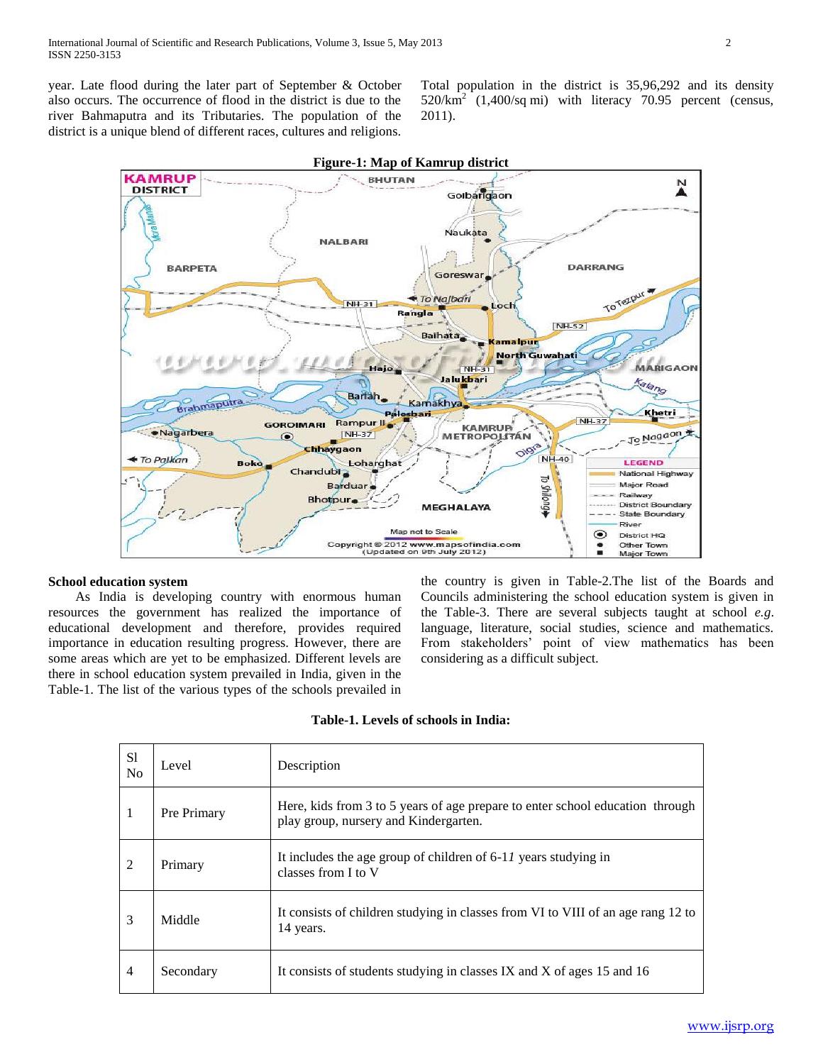year. Late flood during the later part of September & October also occurs. The occurrence of flood in the district is due to the river Bahmaputra and its Tributaries. The population of the district is a unique blend of different races, cultures and religions.

Total population in the district is 35,96,292 and its density  $520/\text{km}^2$  (1,400/sq mi) with literacy 70.95 percent (census, 2011).



### **School education system**

 As India is developing country with enormous human resources the government has realized the importance of educational development and therefore, provides required importance in education resulting progress. However, there are some areas which are yet to be emphasized. Different levels are there in school education system prevailed in India, given in the Table-1. The list of the various types of the schools prevailed in the country is given in Table-2.The list of the Boards and Councils administering the school education system is given in the Table-3. There are several subjects taught at school *e.g*. language, literature, social studies, science and mathematics. From stakeholders' point of view mathematics has been considering as a difficult subject.

#### **Table-1. Levels of schools in India:**

| S1<br>N <sub>0</sub> | Level       | Description                                                                                                            |
|----------------------|-------------|------------------------------------------------------------------------------------------------------------------------|
| 1                    | Pre Primary | Here, kids from 3 to 5 years of age prepare to enter school education through<br>play group, nursery and Kindergarten. |
| 2                    | Primary     | It includes the age group of children of 6-11 years studying in<br>classes from I to V                                 |
| 3                    | Middle      | It consists of children studying in classes from VI to VIII of an age rang 12 to<br>14 years.                          |
| $\overline{4}$       | Secondary   | It consists of students studying in classes IX and X of ages 15 and 16                                                 |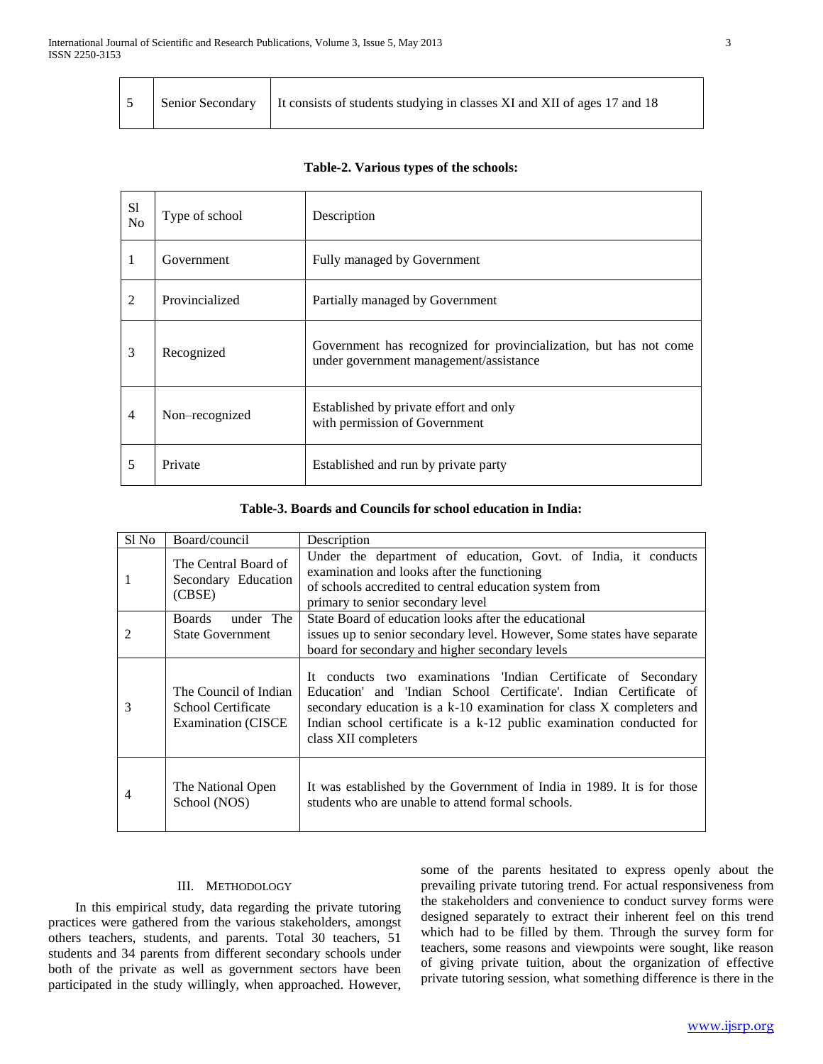$\mathbf{I}$ 

Г

|  |  | Senior Secondary   It consists of students studying in classes XI and XII of ages 17 and 18 |
|--|--|---------------------------------------------------------------------------------------------|
|--|--|---------------------------------------------------------------------------------------------|

### **Table-2. Various types of the schools:**

| S1<br>N <sub>0</sub> | Type of school | Description                                                                                                 |
|----------------------|----------------|-------------------------------------------------------------------------------------------------------------|
|                      | Government     | Fully managed by Government                                                                                 |
| 2                    | Provincialized | Partially managed by Government                                                                             |
| 3                    | Recognized     | Government has recognized for provincialization, but has not come<br>under government management/assistance |
| $\overline{4}$       | Non-recognized | Established by private effort and only<br>with permission of Government                                     |
| 5                    | Private        | Established and run by private party                                                                        |

# **Table-3. Boards and Councils for school education in India:**

| $S1$ No | Board/council                                                             | Description                                                                                                                                                                                                                                                                                                |  |  |
|---------|---------------------------------------------------------------------------|------------------------------------------------------------------------------------------------------------------------------------------------------------------------------------------------------------------------------------------------------------------------------------------------------------|--|--|
| 1       | The Central Board of<br>Secondary Education<br>(CBSE)                     | Under the department of education, Govt. of India, it conducts<br>examination and looks after the functioning<br>of schools accredited to central education system from<br>primary to senior secondary level                                                                                               |  |  |
| 2       | under The<br><b>Boards</b><br><b>State Government</b>                     | State Board of education looks after the educational<br>issues up to senior secondary level. However, Some states have separate<br>board for secondary and higher secondary levels                                                                                                                         |  |  |
| 3       | The Council of Indian<br>School Certificate<br><b>Examination (CISCE)</b> | It conducts two examinations 'Indian Certificate of Secondary<br>Education' and 'Indian School Certificate'. Indian Certificate of<br>secondary education is a k-10 examination for class X completers and<br>Indian school certificate is a k-12 public examination conducted for<br>class XII completers |  |  |
| 4       | The National Open<br>School (NOS)                                         | It was established by the Government of India in 1989. It is for those<br>students who are unable to attend formal schools.                                                                                                                                                                                |  |  |

# III. METHODOLOGY

 In this empirical study, data regarding the private tutoring practices were gathered from the various stakeholders, amongst others teachers, students, and parents. Total 30 teachers, 51 students and 34 parents from different secondary schools under both of the private as well as government sectors have been participated in the study willingly, when approached. However, some of the parents hesitated to express openly about the prevailing private tutoring trend. For actual responsiveness from the stakeholders and convenience to conduct survey forms were designed separately to extract their inherent feel on this trend which had to be filled by them. Through the survey form for teachers, some reasons and viewpoints were sought, like reason of giving private tuition, about the organization of effective private tutoring session, what something difference is there in the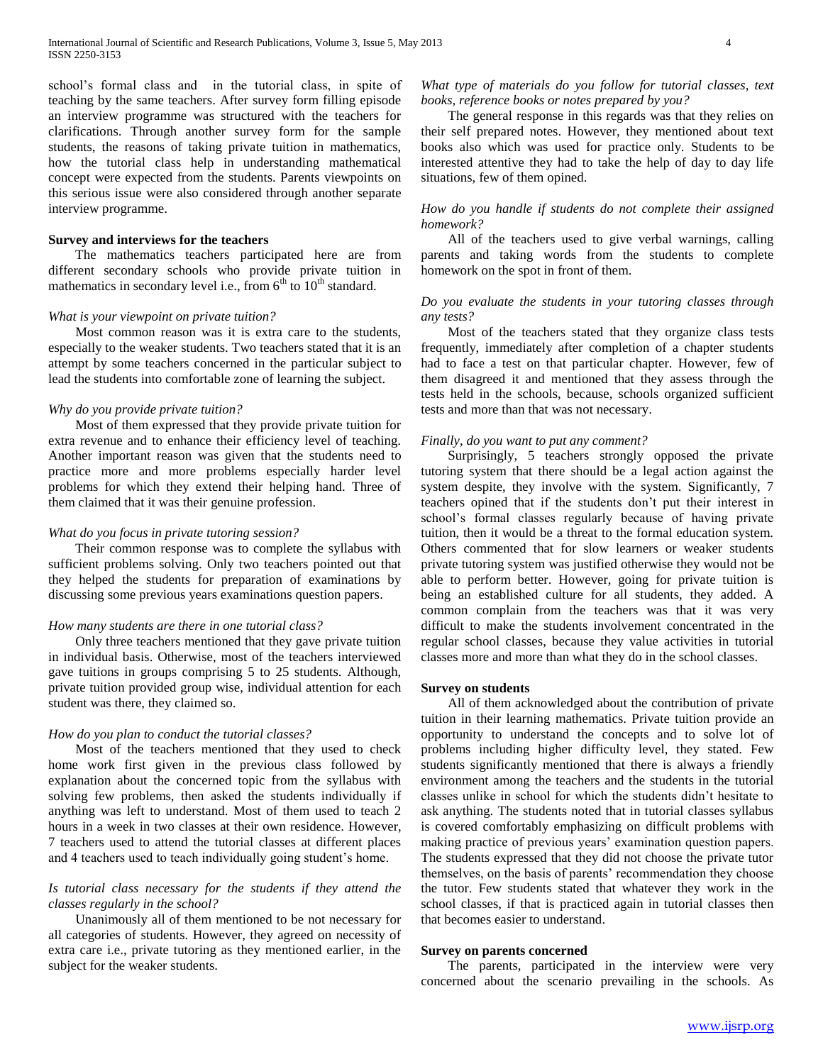school's formal class and in the tutorial class, in spite of teaching by the same teachers. After survey form filling episode an interview programme was structured with the teachers for clarifications. Through another survey form for the sample students, the reasons of taking private tuition in mathematics, how the tutorial class help in understanding mathematical concept were expected from the students. Parents viewpoints on this serious issue were also considered through another separate interview programme.

# **Survey and interviews for the teachers**

 The mathematics teachers participated here are from different secondary schools who provide private tuition in mathematics in secondary level i.e., from  $6<sup>th</sup>$  to  $10<sup>th</sup>$  standard.

# *What is your viewpoint on private tuition?*

 Most common reason was it is extra care to the students, especially to the weaker students. Two teachers stated that it is an attempt by some teachers concerned in the particular subject to lead the students into comfortable zone of learning the subject.

#### *Why do you provide private tuition?*

 Most of them expressed that they provide private tuition for extra revenue and to enhance their efficiency level of teaching. Another important reason was given that the students need to practice more and more problems especially harder level problems for which they extend their helping hand. Three of them claimed that it was their genuine profession.

#### *What do you focus in private tutoring session?*

 Their common response was to complete the syllabus with sufficient problems solving. Only two teachers pointed out that they helped the students for preparation of examinations by discussing some previous years examinations question papers.

#### *How many students are there in one tutorial class?*

 Only three teachers mentioned that they gave private tuition in individual basis. Otherwise, most of the teachers interviewed gave tuitions in groups comprising 5 to 25 students. Although, private tuition provided group wise, individual attention for each student was there, they claimed so.

#### *How do you plan to conduct the tutorial classes?*

 Most of the teachers mentioned that they used to check home work first given in the previous class followed by explanation about the concerned topic from the syllabus with solving few problems, then asked the students individually if anything was left to understand. Most of them used to teach 2 hours in a week in two classes at their own residence. However, 7 teachers used to attend the tutorial classes at different places and 4 teachers used to teach individually going student's home.

# *Is tutorial class necessary for the students if they attend the classes regularly in the school?*

 Unanimously all of them mentioned to be not necessary for all categories of students. However, they agreed on necessity of extra care i.e., private tutoring as they mentioned earlier, in the subject for the weaker students.

# *What type of materials do you follow for tutorial classes, text books, reference books or notes prepared by you?*

 The general response in this regards was that they relies on their self prepared notes. However, they mentioned about text books also which was used for practice only. Students to be interested attentive they had to take the help of day to day life situations, few of them opined.

# *How do you handle if students do not complete their assigned homework?*

 All of the teachers used to give verbal warnings, calling parents and taking words from the students to complete homework on the spot in front of them.

# *Do you evaluate the students in your tutoring classes through any tests?*

 Most of the teachers stated that they organize class tests frequently, immediately after completion of a chapter students had to face a test on that particular chapter. However, few of them disagreed it and mentioned that they assess through the tests held in the schools, because, schools organized sufficient tests and more than that was not necessary.

#### *Finally, do you want to put any comment?*

 Surprisingly, 5 teachers strongly opposed the private tutoring system that there should be a legal action against the system despite, they involve with the system. Significantly, 7 teachers opined that if the students don't put their interest in school's formal classes regularly because of having private tuition, then it would be a threat to the formal education system. Others commented that for slow learners or weaker students private tutoring system was justified otherwise they would not be able to perform better. However, going for private tuition is being an established culture for all students, they added. A common complain from the teachers was that it was very difficult to make the students involvement concentrated in the regular school classes, because they value activities in tutorial classes more and more than what they do in the school classes.

#### **Survey on students**

 All of them acknowledged about the contribution of private tuition in their learning mathematics. Private tuition provide an opportunity to understand the concepts and to solve lot of problems including higher difficulty level, they stated. Few students significantly mentioned that there is always a friendly environment among the teachers and the students in the tutorial classes unlike in school for which the students didn't hesitate to ask anything. The students noted that in tutorial classes syllabus is covered comfortably emphasizing on difficult problems with making practice of previous years' examination question papers. The students expressed that they did not choose the private tutor themselves, on the basis of parents' recommendation they choose the tutor. Few students stated that whatever they work in the school classes, if that is practiced again in tutorial classes then that becomes easier to understand.

#### **Survey on parents concerned**

 The parents, participated in the interview were very concerned about the scenario prevailing in the schools. As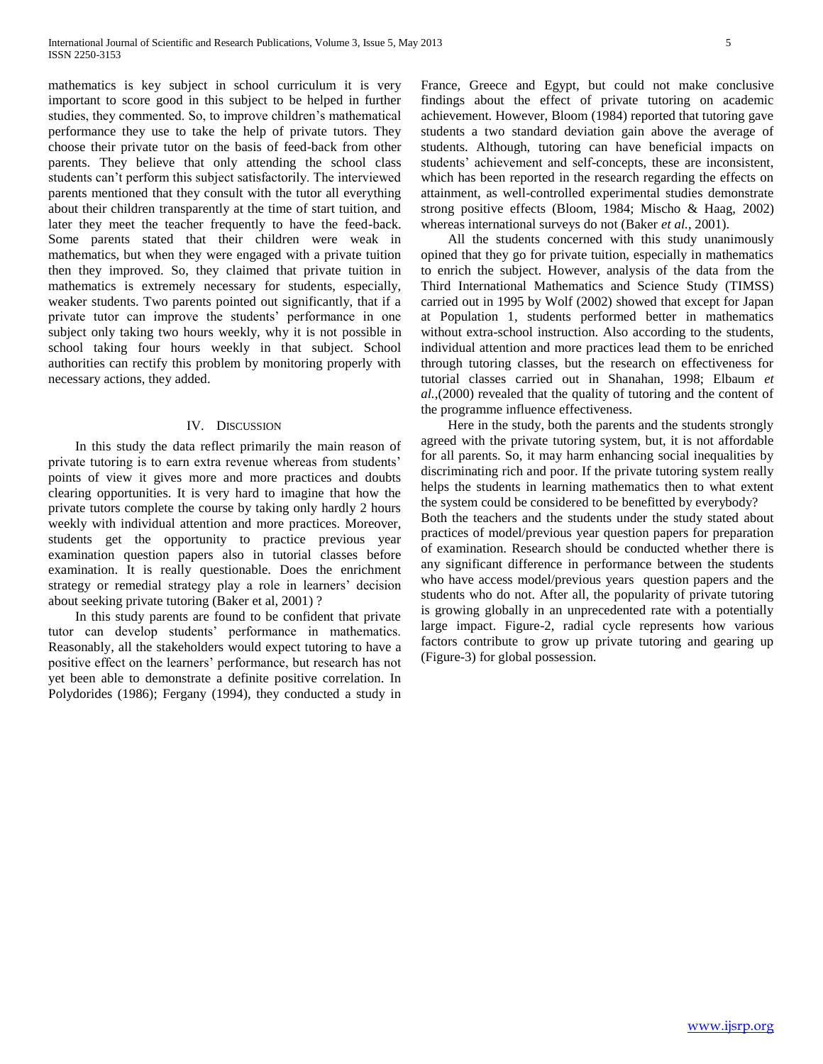mathematics is key subject in school curriculum it is very important to score good in this subject to be helped in further studies, they commented. So, to improve children's mathematical performance they use to take the help of private tutors. They choose their private tutor on the basis of feed-back from other parents. They believe that only attending the school class students can't perform this subject satisfactorily. The interviewed parents mentioned that they consult with the tutor all everything about their children transparently at the time of start tuition, and later they meet the teacher frequently to have the feed-back. Some parents stated that their children were weak in mathematics, but when they were engaged with a private tuition then they improved. So, they claimed that private tuition in mathematics is extremely necessary for students, especially, weaker students. Two parents pointed out significantly, that if a private tutor can improve the students' performance in one subject only taking two hours weekly, why it is not possible in school taking four hours weekly in that subject. School authorities can rectify this problem by monitoring properly with necessary actions, they added.

#### IV. DISCUSSION

 In this study the data reflect primarily the main reason of private tutoring is to earn extra revenue whereas from students' points of view it gives more and more practices and doubts clearing opportunities. It is very hard to imagine that how the private tutors complete the course by taking only hardly 2 hours weekly with individual attention and more practices. Moreover, students get the opportunity to practice previous year examination question papers also in tutorial classes before examination. It is really questionable. Does the enrichment strategy or remedial strategy play a role in learners' decision about seeking private tutoring (Baker et al, 2001) ?

 In this study parents are found to be confident that private tutor can develop students' performance in mathematics. Reasonably, all the stakeholders would expect tutoring to have a positive effect on the learners' performance, but research has not yet been able to demonstrate a definite positive correlation. In Polydorides (1986); Fergany (1994), they conducted a study in France, Greece and Egypt, but could not make conclusive findings about the effect of private tutoring on academic achievement. However, Bloom (1984) reported that tutoring gave students a two standard deviation gain above the average of students. Although, tutoring can have beneficial impacts on students' achievement and self-concepts, these are inconsistent, which has been reported in the research regarding the effects on attainment, as well-controlled experimental studies demonstrate strong positive effects (Bloom, 1984; Mischo & Haag, 2002) whereas international surveys do not (Baker *et al.*, 2001).

 All the students concerned with this study unanimously opined that they go for private tuition, especially in mathematics to enrich the subject. However, analysis of the data from the Third International Mathematics and Science Study (TIMSS) carried out in 1995 by Wolf (2002) showed that except for Japan at Population 1, students performed better in mathematics without extra-school instruction. Also according to the students, individual attention and more practices lead them to be enriched through tutoring classes, but the research on effectiveness for tutorial classes carried out in Shanahan, 1998; Elbaum *et al.*,(2000) revealed that the quality of tutoring and the content of the programme influence effectiveness.

 Here in the study, both the parents and the students strongly agreed with the private tutoring system, but, it is not affordable for all parents. So, it may harm enhancing social inequalities by discriminating rich and poor. If the private tutoring system really helps the students in learning mathematics then to what extent the system could be considered to be benefitted by everybody? Both the teachers and the students under the study stated about practices of model/previous year question papers for preparation of examination. Research should be conducted whether there is any significant difference in performance between the students who have access model/previous years question papers and the students who do not. After all, the popularity of private tutoring is growing globally in an unprecedented rate with a potentially large impact. Figure-2, radial cycle represents how various factors contribute to grow up private tutoring and gearing up (Figure-3) for global possession.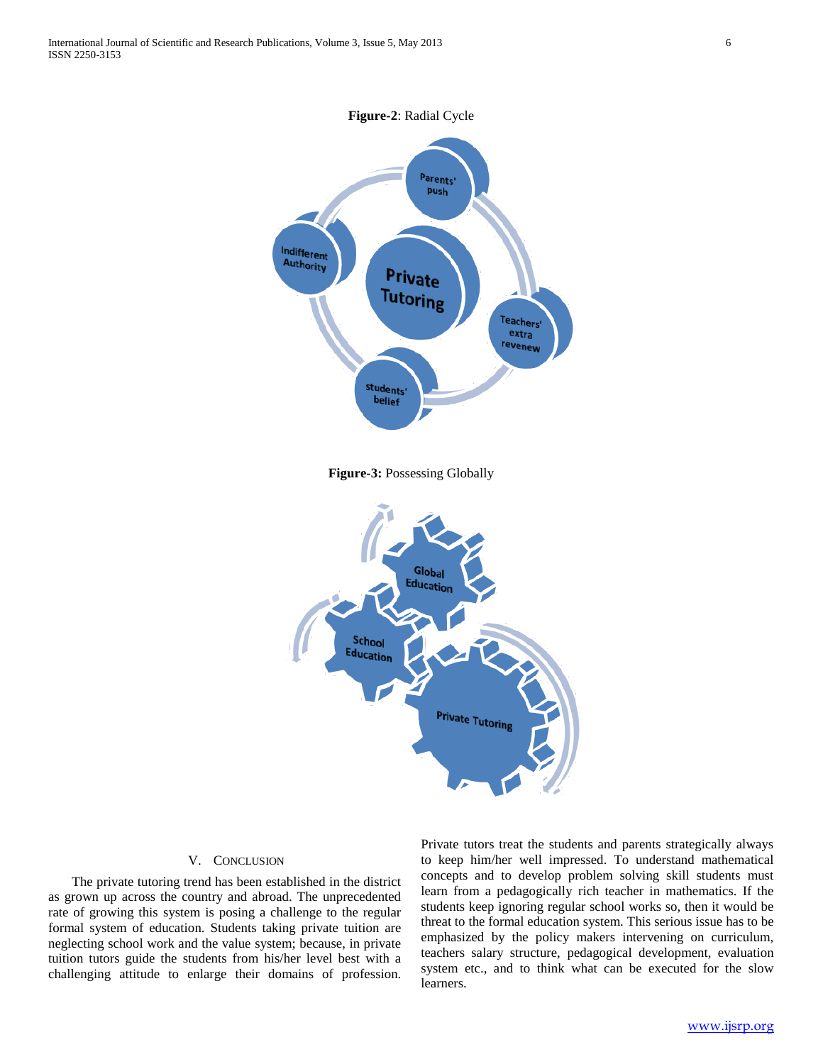

**Figure-3:** Possessing Globally



#### V. CONCLUSION

 The private tutoring trend has been established in the district as grown up across the country and abroad. The unprecedented rate of growing this system is posing a challenge to the regular formal system of education. Students taking private tuition are neglecting school work and the value system; because, in private tuition tutors guide the students from his/her level best with a challenging attitude to enlarge their domains of profession.

Private tutors treat the students and parents strategically always to keep him/her well impressed. To understand mathematical concepts and to develop problem solving skill students must learn from a pedagogically rich teacher in mathematics. If the students keep ignoring regular school works so, then it would be threat to the formal education system. This serious issue has to be emphasized by the policy makers intervening on curriculum, teachers salary structure, pedagogical development, evaluation system etc., and to think what can be executed for the slow learners.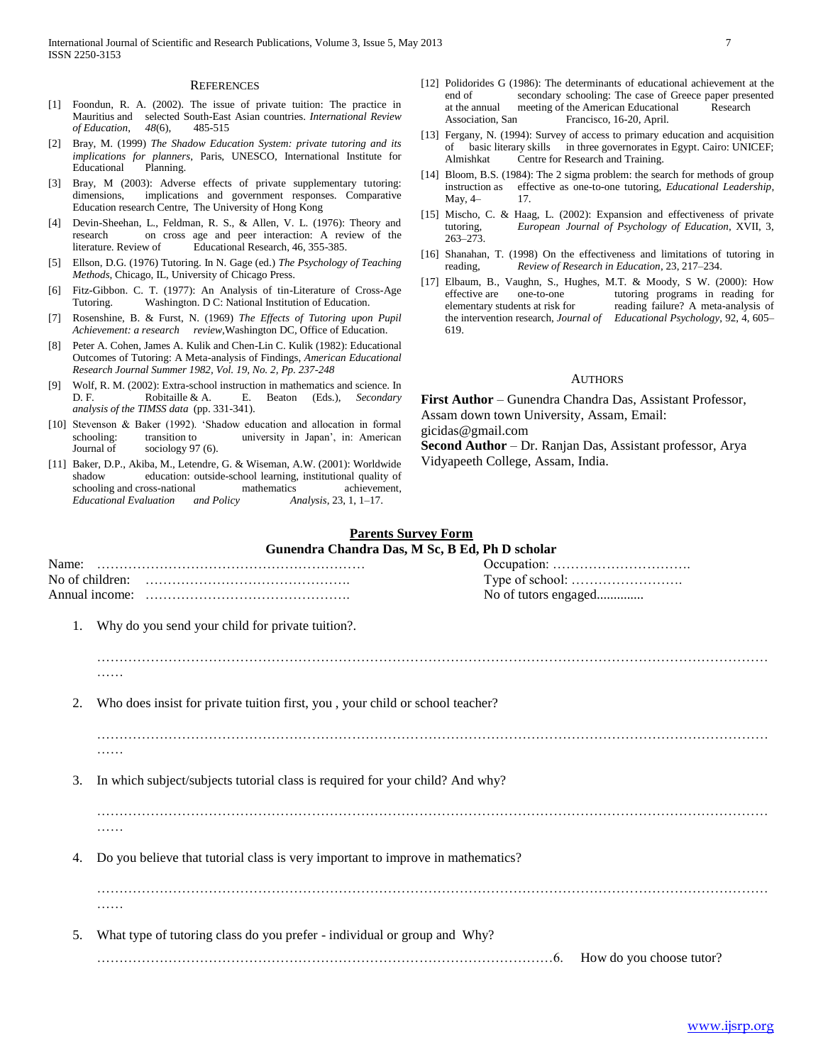#### **REFERENCES**

- [1] Foondun, R. A. (2002). The issue of private tuition: The practice in Mauritius and selected South-East Asian countries. *International Review of Education*, *48*(6), 485-515
- [2] Bray, M. (1999) *The Shadow Education System: private tutoring and its implications for planners*, Paris, UNESCO, International Institute for Educational Planning.
- [3] Bray, M (2003): Adverse effects of private supplementary tutoring: dimensions, implications and government responses. Comparative Education research Centre, The University of Hong Kong
- [4] Devin-Sheehan, L., Feldman, R. S., & Allen, V. L. (1976): Theory and research on cross age and peer interaction: A review of the literature. Review of Educational Research, 46, 355-385.
- [5] Ellson, D.G. (1976) Tutoring. In N. Gage (ed.) *The Psychology of Teaching Methods*, Chicago, IL, University of Chicago Press.
- [6] Fitz-Gibbon. C. T. (1977): An Analysis of tin-Literature of Cross-Age Tutoring. Washington. D C: National Institution of Education.
- [7] Rosenshine, B. & Furst, N. (1969) *The Effects of Tutoring upon Pupil Achievement: a research review*,Washington DC, Office of Education.
- [8] Peter A. Cohen, James A. Kulik and Chen-Lin C. Kulik (1982): Educational Outcomes of Tutoring: A Meta-analysis of Findings, *American Educational Research Journal Summer 1982, Vol. 19, No. 2, Pp. 237-248*
- [9] Wolf, R. M. (2002): Extra-school instruction in mathematics and science. In D. F. Robitaille & A. E. Beaton (Eds.), *Secondary analysis of the TIMSS data* (pp. 331-341).
- [10] Stevenson & Baker (1992). 'Shadow education and allocation in formal schooling: transition to university in Japan', in: American Journal of sociology 97 (6).
- [11] Baker, D.P., Akiba, M., Letendre, G. & Wiseman, A.W. (2001): Worldwide shadow education: outside-school learning, institutional quality of schooling and cross-national mathematics achievement, schooling and cross-national mathematics achievem<br>  $Educational$  Evaluation and Policy Analysis, 23, 1, 1–17. *Educational Evaluation and Policy Analysis*, 23, 1, 1–17.
- [12] Polidorides G (1986): The determinants of educational achievement at the end of secondary schooling: The case of Greece paper presented at the annual meeting of the American Educational Research Association, San Francisco, 16-20, April.
- [13] Fergany, N. (1994): Survey of access to primary education and acquisition of basic literary skills in three governorates in Egypt. Cairo: UNICEF; Almishkat Centre for Research and Training.
- [14] Bloom, B.S. (1984): The 2 sigma problem: the search for methods of group instruction as effective as one-to-one tutoring, *Educational Leadership*, May, 4- 17.
- [15] Mischo, C. & Haag, L. (2002): Expansion and effectiveness of private tutoring, *European Journal of Psychology of Education*, XVII, 3, 263–273.
- [16] Shanahan, T. (1998) On the effectiveness and limitations of tutoring in reading, *Review of Research in Education*, 23, 217–234.
- [17] Elbaum, B., Vaughn, S., Hughes, M.T. & Moody, S W. (2000): How effective are one-to-one tutoring programs in reading for elementary students at risk for reading failure? A meta-analysis of the intervention research, *Journal of Educational Psychology*, 92, 4, 605– 619.

#### **AUTHORS**

**First Author** – Gunendra Chandra Das, Assistant Professor, Assam down town University, Assam, Email: gicidas@gmail.com **Second Author** – Dr. Ranjan Das, Assistant professor, Arya

Vidyapeeth College, Assam, India.

# **Parents Survey Form**

| Gunendra Chandra Das, M Sc, B Ed, Ph D scholar |                                                                                 |                      |                          |  |
|------------------------------------------------|---------------------------------------------------------------------------------|----------------------|--------------------------|--|
| Name:                                          |                                                                                 |                      |                          |  |
|                                                | No of children:                                                                 |                      |                          |  |
|                                                |                                                                                 | No of tutors engaged |                          |  |
| 1.                                             | Why do you send your child for private tuition?.                                |                      |                          |  |
|                                                |                                                                                 |                      |                          |  |
| 2.                                             | Who does insist for private tuition first, you, your child or school teacher?   |                      |                          |  |
|                                                | .                                                                               |                      |                          |  |
| 3.                                             | In which subject/subjects tutorial class is required for your child? And why?   |                      |                          |  |
|                                                | .                                                                               |                      |                          |  |
| 4.                                             | Do you believe that tutorial class is very important to improve in mathematics? |                      |                          |  |
|                                                | .                                                                               |                      |                          |  |
| 5.                                             | What type of tutoring class do you prefer - individual or group and Why?        |                      |                          |  |
|                                                |                                                                                 | .6.                  | How do you choose tutor? |  |